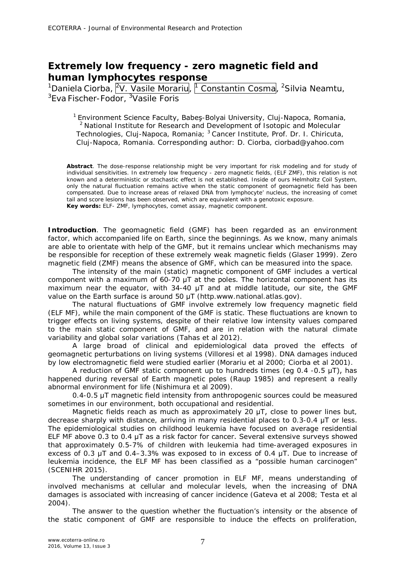## **Extremely low frequency - zero magnetic field and human lymphocytes response**

 $^1$ Daniela Ciorba,  $|^2$ V. Vasile Morariu $|$ ,  $|^1$  Constantin Cosma $|$ ,  $^2$ Silvia Neamtu, <sup>3</sup>Eva Fischer-Fodor, <sup>3</sup>Vasile Foris

<sup>1</sup> Environment Science Faculty, Babes-Bolyai University, Clui-Napoca, Romania, <sup>2</sup> National Institute for Research and Development of Isotopic and Molecular Technologies, Cluj-Napoca, Romania; <sup>3</sup> Cancer Institute, Prof. Dr. I. Chiricuta, Cluj-Napoca, Romania. Corresponding author: D. Ciorba, ciorbad@yahoo.com

**Abstract**. The dose-response relationship might be very important for risk modeling and for study of individual sensitivities. In extremely low frequency - zero magnetic fields, (ELF ZMF), this relation is not known and a deterministic or stochastic effect is not established. Inside of ours Helmholtz Coil System, only the natural fluctuation remains active when the static component of geomagnetic field has been compensated. Due to increase areas of relaxed DNA from lymphocyte' nucleus, the increasing of comet tail and score lesions has been observed, which are equivalent with a genotoxic exposure. **Key words:** ELF- ZMF, lymphocytes, comet assay, magnetic component.

**Introduction**. The geomagnetic field (GMF) has been regarded as an environment factor, which accompanied life on Earth, since the beginnings. As we know, many animals are able to orientate with help of the GMF, but it remains unclear which mechanisms may be responsible for reception of these extremely weak magnetic fields (Glaser 1999). Zero magnetic field (ZMF) means the absence of GMF, which can be measured into the space.

The intensity of the main (static) magnetic component of GMF includes a vertical component with a maximum of 60-70 μT at the poles. The horizontal component has its maximum near the equator, with 34-40  $\mu$ T and at middle latitude, our site, the GMF value on the Earth surface is around 50 μT (http.www.national.atlas.gov).

The natural fluctuations of GMF involve extremely low frequency magnetic field (ELF MF), while the main component of the GMF is static. These fluctuations are known to trigger effects on living systems, despite of their relative low intensity values compared to the main static component of GMF, and are in relation with the natural climate variability and global solar variations (Tahas et al 2012).

A large broad of clinical and epidemiological data proved the effects of geomagnetic perturbations on living systems (Villoresi et al 1998). DNA damages induced by low electromagnetic field were studied earlier (Morariu et al 2000; Ciorba et al 2001).

A reduction of GMF static component up to hundreds times (eq  $0.4$  -0.5  $\mu$ T), has happened during reversal of Earth magnetic poles (Raup 1985) and represent a really abnormal environment for life (Nishimura et al 2009).

0.4-0.5 μT magnetic field intensity from anthropogenic sources could be measured sometimes in our environment, both occupational and residential.

Magnetic fields reach as much as approximately 20 μT, close to power lines but, decrease sharply with distance, arriving in many residential places to 0.3-0.4 μT or less. The epidemiological studies on childhood leukemia have focused on average residential ELF MF above 0.3 to 0.4 μT as a risk factor for cancer. Several extensive surveys showed that approximately 0.5-7% of children with leukemia had time-averaged exposures in excess of 0.3  $\mu$ T and 0.4–3.3% was exposed to in excess of 0.4  $\mu$ T. Due to increase of leukemia incidence, the ELF MF has been classified as a "possible human carcinogen" (SCENIHR 2015).

The understanding of cancer promotion in ELF MF, means understanding of involved mechanisms at cellular and molecular levels, when the increasing of DNA damages is associated with increasing of cancer incidence (Gateva et al 2008; Testa et al 2004).

The answer to the question whether the fluctuation's intensity or the absence of the static component of GMF are responsible to induce the effects on proliferation,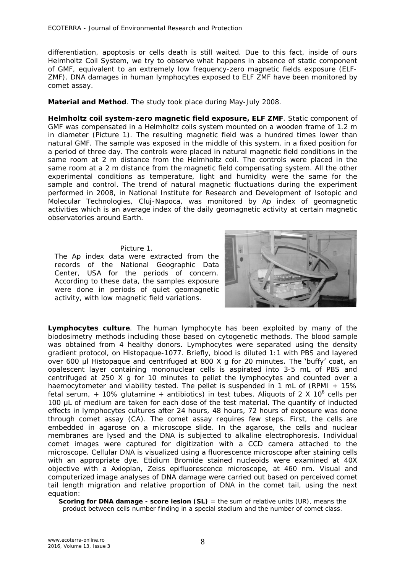differentiation, apoptosis or cells death is still waited. Due to this fact, inside of ours Helmholtz Coil System, we try to observe what happens in absence of static component of GMF, equivalent to an extremely low frequency-zero magnetic fields exposure (ELF-ZMF). DNA damages in human lymphocytes exposed to ELF ZMF have been monitored by comet assay.

**Material and Method**. The study took place during May-July 2008.

*Helmholtz coil system-zero magnetic field exposure, ELF ZMF.* Static component of GMF was compensated in a Helmholtz coils system mounted on a wooden frame of 1.2 m in diameter (Picture 1). The resulting magnetic field was a hundred times lower than natural GMF. The sample was exposed in the middle of this system, in a fixed position for a period of three day. The controls were placed in natural magnetic field conditions in the same room at 2 m distance from the Helmholtz coil. The controls were placed in the same room at a 2 m distance from the magnetic field compensating system. All the other experimental conditions as temperature, light and humidity were the same for the sample and control. The trend of natural magnetic fluctuations during the experiment performed in 2008, in National Institute for Research and Development of Isotopic and Molecular Technologies, Cluj-Napoca, was monitored by Ap index of geomagnetic activities which is an average index of the daily geomagnetic activity at certain magnetic observatories around Earth.

## Picture 1.

The Ap index data were extracted from the records of the National Geographic Data Center, USA for the periods of concern. According to these data, the samples exposure were done in periods of quiet geomagnetic activity, with low magnetic field variations.



*Lymphocytes culture.* The human lymphocyte has been exploited by many of the biodosimetry methods including those based on cytogenetic methods. The blood sample was obtained from 4 healthy donors. Lymphocytes were separated using the density gradient protocol, on Histopaque-1077. Briefly, blood is diluted 1:1 with PBS and layered over 600 μl Histopaque and centrifuged at 800 X g for 20 minutes. The 'buffy' coat, an opalescent layer containing mononuclear cells is aspirated into 3-5 mL of PBS and centrifuged at 250 X g for 10 minutes to pellet the lymphocytes and counted over a haemocytometer and viability tested. The pellet is suspended in 1 mL of (RPMI + 15%) fetal serum, + 10% glutamine + antibiotics) in test tubes. Aliquots of 2 X 10<sup>6</sup> cells per 100 μL of medium are taken for each dose of the test material. The quantify of inducted effects in lymphocytes cultures after 24 hours, 48 hours, 72 hours of exposure was done through comet assay (CA). The comet assay requires few steps. First, the cells are embedded in agarose on a microscope slide. In the agarose, the cells and nuclear membranes are lysed and the DNA is subjected to alkaline electrophoresis. Individual comet images were captured for digitization with a CCD camera attached to the microscope. Cellular DNA is visualized using a fluorescence microscope after staining cells with an appropriate dye. Etidium Bromide stained nucleoids were examined at 40X objective with a Axioplan, Zeiss epifluorescence microscope, at 460 nm. Visual and computerized image analyses of DNA damage were carried out based on perceived comet tail length migration and relative proportion of DNA in the comet tail, using the next equation:

**Scoring for DNA damage - score lesion (SL)** = the sum of relative units (UR), means the product between cells number finding in a special stadium and the number of comet class.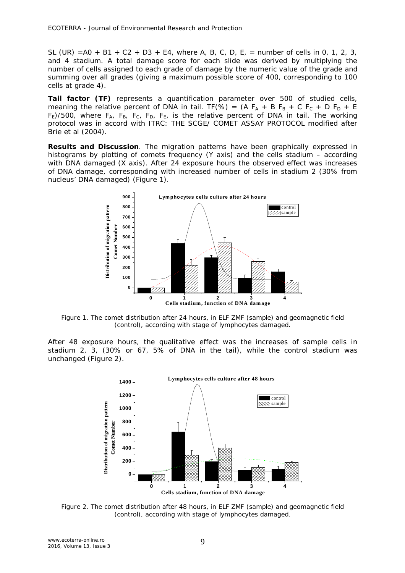SL (UR) = $A0 + B1 + C2 + D3 + E4$ , where A, B, C, D, E, = number of cells in 0, 1, 2, 3, and 4 stadium. A total damage score for each slide was derived by multiplying the number of cells assigned to each grade of damage by the numeric value of the grade and summing over all grades (giving a maximum possible score of 400, corresponding to 100 cells at grade 4).

**Tail factor (TF)** represents a quantification parameter over 500 of studied cells, meaning the relative percent of DNA in tail. TF(%) = (A F<sub>A</sub> + B F<sub>B</sub> + C F<sub>C</sub> + D F<sub>D</sub> + E  $F_E$ )/500, where  $F_A$ ,  $F_B$ ,  $F_C$ ,  $F_D$ ,  $F_E$ , is the relative percent of DNA in tail. The working protocol was in accord with ITRC: THE SCGE/ COMET ASSAY PROTOCOL modified after Brie et al (2004).

**Results and Discussion**. The migration patterns have been graphically expressed in histograms by plotting of comets frequency (*Y* axis) and the cells stadium – according with DNA damaged (*X* axis). After 24 exposure hours the observed effect was increases of DNA damage, corresponding with increased number of cells in stadium 2 (30% from nucleus' DNA damaged) (Figure 1).



Figure 1. The comet distribution after 24 hours, in ELF ZMF (sample) and geomagnetic field (control), according with stage of lymphocytes damaged.

After 48 exposure hours, the qualitative effect was the increases of sample cells in stadium 2, 3, (30% or 67, 5% of DNA in the tail), while the control stadium was unchanged (Figure 2).



Figure 2. The comet distribution after 48 hours, in ELF ZMF (sample) and geomagnetic field (control), according with stage of lymphocytes damaged.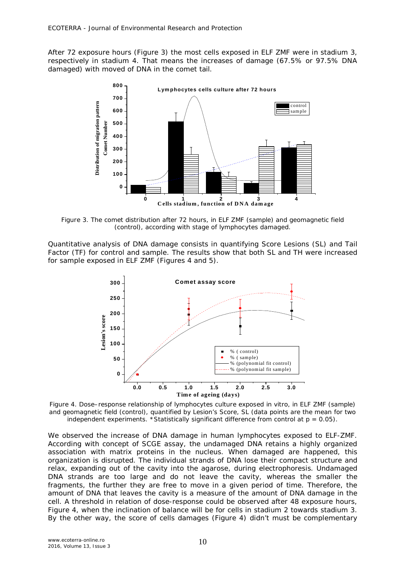After 72 exposure hours (Figure 3) the most cells exposed in ELF ZMF were in stadium 3, respectively in stadium 4. That means the increases of damage (67.5% or 97.5% DNA damaged) with moved of DNA in the comet tail.



Figure 3. The comet distribution after 72 hours, in ELF ZMF (sample) and geomagnetic field (control), according with stage of lymphocytes damaged.

Quantitative analysis of DNA damage consists in quantifying Score Lesions (SL) and Tail Factor (TF) for control and sample. The results show that both SL and TH were increased for sample exposed in ELF ZMF (Figures 4 and 5).



Figure 4. Dose–response relationship of lymphocytes culture exposed in vitro, in ELF ZMF (sample) and geomagnetic field (control), quantified by Lesion's Score, SL (data points are the mean for two independent experiments. \*Statistically significant difference from control at  $p = 0.05$ ).

We observed the increase of DNA damage in human lymphocytes exposed to ELF-ZMF. According with concept of SCGE assay, the undamaged DNA retains a highly organized association with matrix proteins in the nucleus. When damaged are happened, this organization is disrupted. The individual strands of DNA lose their compact structure and relax, expanding out of the cavity into the agarose, during electrophoresis. Undamaged DNA strands are too large and do not leave the cavity, whereas the smaller the fragments, the further they are free to move in a given period of time. Therefore, the amount of DNA that leaves the cavity is a measure of the amount of DNA damage in the cell. A threshold in relation of dose-response could be observed after 48 exposure hours, Figure 4, when the inclination of balance will be for cells in stadium 2 towards stadium 3. By the other way, the score of cells damages (Figure 4) didn't must be complementary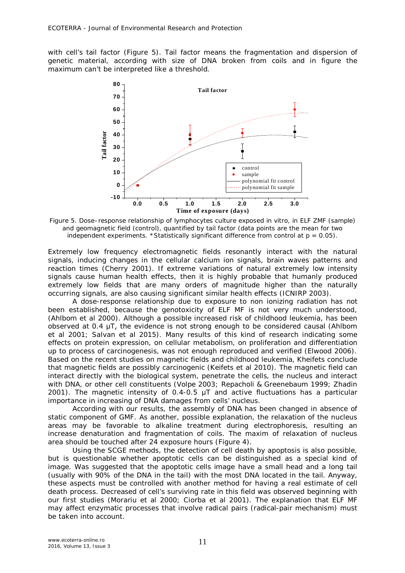with cell's tail factor (Figure 5). Tail factor means the fragmentation and dispersion of genetic material, according with size of DNA broken from coils and in figure the maximum can't be interpreted like a threshold.



Figure 5. Dose–response relationship of lymphocytes culture exposed in vitro, in ELF ZMF (sample) and geomagnetic field (control), quantified by tail factor (data points are the mean for two independent experiments. \*Statistically significant difference from control at  $p = 0.05$ ).

Extremely low frequency electromagnetic fields resonantly interact with the natural signals, inducing changes in the cellular calcium ion signals, brain waves patterns and reaction times (Cherry 2001). If extreme variations of natural extremely low intensity signals cause human health effects, then it is highly probable that humanly produced extremely low fields that are many orders of magnitude higher than the naturally occurring signals, are also causing significant similar health effects (ICNIRP 2003).

A dose-response relationship due to exposure to non ionizing radiation has not been established, because the genotoxicity of ELF MF is not very much understood, (Ahlbom et al 2000). Although a possible increased risk of childhood leukemia, has been observed at 0.4 μT, the evidence is not strong enough to be considered causal (Ahlbom et al 2001; Salvan et al 2015). Many results of this kind of research indicating some effects on protein expression, on cellular metabolism, on proliferation and differentiation up to process of carcinogenesis, was not enough reproduced and verified (Elwood 2006). Based on the recent studies on magnetic fields and childhood leukemia, Kheifets conclude that magnetic fields are possibly carcinogenic (Keifets et al 2010). The magnetic field can interact directly with the biological system, penetrate the cells, the nucleus and interact with DNA, or other cell constituents (Volpe 2003; Repacholi & Greenebaum 1999; Zhadin 2001). The magnetic intensity of 0.4-0.5 μT and active fluctuations has a particular importance in increasing of DNA damages from cells' nucleus.

According with our results, the assembly of DNA has been changed in absence of static component of GMF. As another, possible explanation, the relaxation of the nucleus areas may be favorable to alkaline treatment during electrophoresis, resulting an increase denaturation and fragmentation of coils. The maxim of relaxation of nucleus area should be touched after 24 exposure hours (Figure 4).

Using the SCGE methods, the detection of cell death by apoptosis is also possible, but is questionable whether apoptotic cells can be distinguished as a special kind of image. Was suggested that the apoptotic cells image have a small head and a long tail (usually with 90% of the DNA in the tail) with the most DNA located in the tail. Anyway, these aspects must be controlled with another method for having a real estimate of cell death process. Decreased of cell's surviving rate in this field was observed beginning with our first studies (Morariu et al 2000; Ciorba et al 2001). The explanation that ELF MF may affect enzymatic processes that involve radical pairs (radical-pair mechanism) must be taken into account.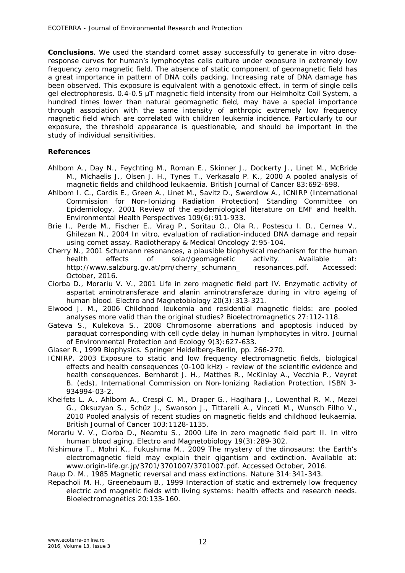**Conclusions**. We used the standard comet assay successfully to generate *in vitro* doseresponse curves for human's lymphocytes cells culture under exposure in extremely low frequency zero magnetic field. The absence of static component of geomagnetic field has a great importance in pattern of DNA coils packing. Increasing rate of DNA damage has been observed. This exposure is equivalent with a genotoxic effect, in term of single cells gel electrophoresis. 0.4-0.5 μT magnetic field intensity from our Helmholtz Coil System, a hundred times lower than natural geomagnetic field, may have a special importance through association with the same intensity of anthropic extremely low frequency magnetic field which are correlated with children leukemia incidence. Particularly to our exposure, the threshold appearance is questionable, and should be important in the study of individual sensitivities.

## **References**

- Ahlbom A., Day N., Feychting M., Roman E., Skinner J., Dockerty J., Linet M., McBride M., Michaelis J., Olsen J. H., Tynes T., Verkasalo P. K., 2000 A pooled analysis of magnetic fields and childhood leukaemia. British Journal of Cancer 83:692-698.
- Ahlbom I. C., Cardis E., Green A., Linet M., Savitz D., Swerdlow A., ICNIRP (International Commission for Non-Ionizing Radiation Protection) Standing Committee on Epidemiology, 2001 Review of the epidemiological literature on EMF and health. Environmental Health Perspectives 109(6):911-933.
- Brie I., Perde M., Fischer E., Virag P., Soritau O., Ola R., Postescu I. D., Cernea V., Ghilezan N., 2004 In vitro, evaluation of radiation-induced DNA damage and repair using comet assay. Radiotherapy & Medical Oncology 2:95-104.
- Cherry N., 2001 Schumann resonances, a plausible biophysical mechanism for the human health effects of solar/geomagnetic activity. Available at: http://www.salzburg.gv.at/prn/cherry\_schumann\_ resonances.pdf. Accessed: October, 2016.
- Ciorba D., Morariu V. V., 2001 Life in zero magnetic field part IV. Enzymatic activity of aspartat aminotransferaze and alanin aminotransferaze during in vitro ageing of human blood. Electro and Magnetobiology 20(3):313-321.
- Elwood J. M., 2006 Childhood leukemia and residential magnetic fields: are pooled analyses more valid than the original studies? Bioelectromagnetics 27:112-118.
- Gateva S., Kulekova S., 2008 Chromosome aberrations and apoptosis induced by paraquat corresponding with cell cycle delay in human lymphocytes in vitro. Journal of Environmental Protection and Ecology 9(3):627-633.
- Glaser R., 1999 Biophysics. Springer Heidelberg-Berlin, pp. 266-270.
- ICNIRP, 2003 Exposure to static and low frequency electromagnetic fields, biological effects and health consequences (0-100 kHz) - review of the scientific evidence and health consequences. Bernhardt J. H., Matthes R., McKinlay A., Vecchia P., Veyret B. (eds), International Commission on Non-Ionizing Radiation Protection, ISBN 3- 934994-03-2.
- Kheifets L. A., Ahlbom A., Crespi C. M., Draper G., Hagihara J., Lowenthal R. M., Mezei G., Oksuzyan S., Schüz J., Swanson J., Tittarelli A., Vinceti M., Wunsch Filho V., 2010 Pooled analysis of recent studies on magnetic fields and childhood leukaemia. British Journal of Cancer 103:1128-1135.
- Morariu V. V., Ciorba D., Neamtu S., 2000 Life in zero magnetic field part II. In vitro human blood aging. Electro and Magnetobiology 19(3):289-302.
- Nishimura T., Mohri K., Fukushima M., 2009 The mystery of the dinosaurs: the Earth's electromagnetic field may explain their gigantism and extinction. Available at: www.origin-life.gr.jp/3701/3701007/3701007.pdf. Accessed October, 2016.

Raup D. M., 1985 Magnetic reversal and mass extinctions. Nature 314:341-343.

Repacholi M. H., Greenebaum B., 1999 Interaction of static and extremely low frequency electric and magnetic fields with living systems: health effects and research needs. Bioelectromagnetics 20:133-160.